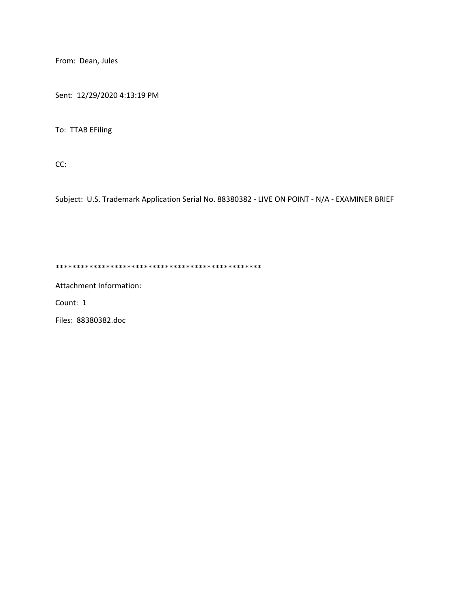From: Dean, Jules

Sent: 12/29/2020 4:13:19 PM

To: TTAB EFiling

CC:

Subject: U.S. Trademark Application Serial No. 88380382 - LIVE ON POINT - N/A - EXAMINER BRIEF

\*\*\*\*\*\*\*\*\*\*\*\*\*\*\*\*\*\*\*\*\*\*\*\*\*\*\*\*\*\*\*\*\*\*\*\*\*\*\*\*\*\*\*\*\*\*\*\*\*

Attachment Information:

Count: 1

Files: 88380382.doc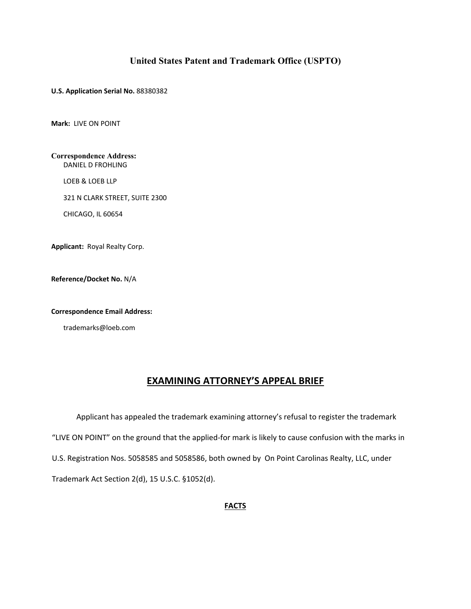## **United States Patent and Trademark Office (USPTO)**

**U.S. Application Serial No.** 88380382

**Mark:** LIVE ON POINT

**Correspondence Address:** DANIEL D FROHLING

LOEB & LOEB LLP

321 N CLARK STREET, SUITE 2300

CHICAGO, IL 60654

**Applicant:** Royal Realty Corp.

**Reference/Docket No.** N/A

**Correspondence Email Address:**

trademarks@loeb.com

# **EXAMINING ATTORNEY'S APPEAL BRIEF**

 Applicant has appealed the trademark examining attorney's refusal to register the trademark "LIVE ON POINT" on the ground that the applied-for mark is likely to cause confusion with the marks in U.S. Registration Nos. 5058585 and 5058586, both owned by On Point Carolinas Realty, LLC, under Trademark Act Section 2(d), 15 U.S.C. §1052(d).

## **FACTS**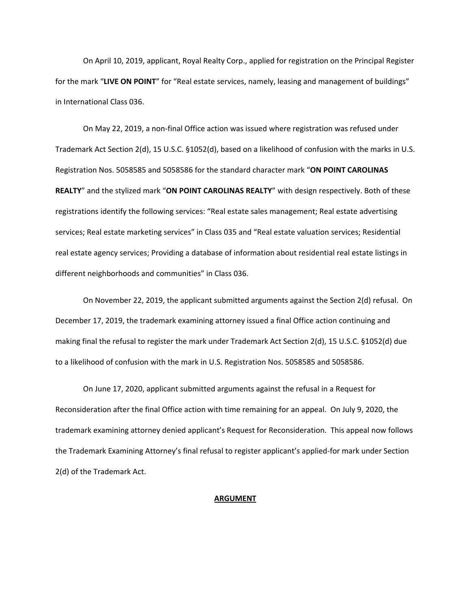On April 10, 2019, applicant, Royal Realty Corp., applied for registration on the Principal Register for the mark "**LIVE ON POINT**" for "Real estate services, namely, leasing and management of buildings" in International Class 036.

On May 22, 2019, a non-final Office action was issued where registration was refused under Trademark Act Section 2(d), 15 U.S.C. §1052(d), based on a likelihood of confusion with the marks in U.S. Registration Nos. 5058585 and 5058586 for the standard character mark "**ON POINT CAROLINAS REALTY**" and the stylized mark "**ON POINT CAROLINAS REALTY**" with design respectively. Both of these registrations identify the following services: "Real estate sales management; Real estate advertising services; Real estate marketing services" in Class 035 and "Real estate valuation services; Residential real estate agency services; Providing a database of information about residential real estate listings in different neighborhoods and communities" in Class 036.

On November 22, 2019, the applicant submitted arguments against the Section 2(d) refusal. On December 17, 2019, the trademark examining attorney issued a final Office action continuing and making final the refusal to register the mark under Trademark Act Section 2(d), 15 U.S.C. §1052(d) due to a likelihood of confusion with the mark in U.S. Registration Nos. 5058585 and 5058586.

On June 17, 2020, applicant submitted arguments against the refusal in a Request for Reconsideration after the final Office action with time remaining for an appeal. On July 9, 2020, the trademark examining attorney denied applicant's Request for Reconsideration. This appeal now follows the Trademark Examining Attorney's final refusal to register applicant's applied-for mark under Section 2(d) of the Trademark Act.

#### **ARGUMENT**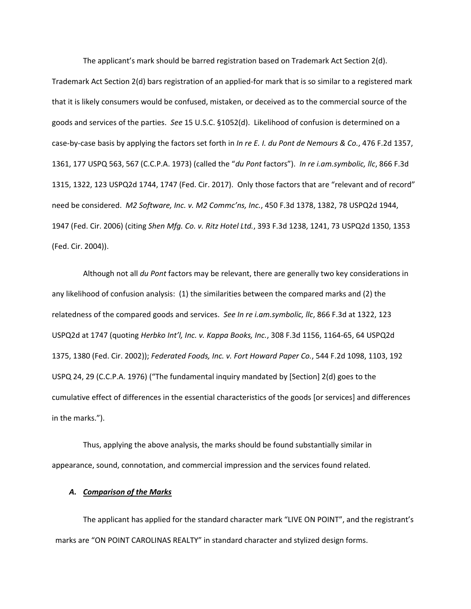The applicant's mark should be barred registration based on Trademark Act Section 2(d). Trademark Act Section 2(d) bars registration of an applied-for mark that is so similar to a registered mark that it is likely consumers would be confused, mistaken, or deceived as to the commercial source of the goods and services of the parties. *See* 15 U.S.C. §1052(d). Likelihood of confusion is determined on a case-by-case basis by applying the factors set forth in *In re E. I. du Pont de Nemours & Co.*, 476 F.2d 1357, 1361, 177 USPQ 563, 567 (C.C.P.A. 1973) (called the "*du Pont* factors"). *In re i.am.symbolic, llc*, 866 F.3d 1315, 1322, 123 USPQ2d 1744, 1747 (Fed. Cir. 2017). Only those factors that are "relevant and of record" need be considered. *M2 Software, Inc. v. M2 Commc'ns, Inc.*, 450 F.3d 1378, 1382, 78 USPQ2d 1944, 1947 (Fed. Cir. 2006) (citing *Shen Mfg. Co. v. Ritz Hotel Ltd.*, 393 F.3d 1238, 1241, 73 USPQ2d 1350, 1353 (Fed. Cir. 2004)).

Although not all *du Pont* factors may be relevant, there are generally two key considerations in any likelihood of confusion analysis: (1) the similarities between the compared marks and (2) the relatedness of the compared goods and services. *See In re i.am.symbolic, llc*, 866 F.3d at 1322, 123 USPQ2d at 1747 (quoting *Herbko Int'l, Inc. v. Kappa Books, Inc.*, 308 F.3d 1156, 1164-65, 64 USPQ2d 1375, 1380 (Fed. Cir. 2002)); *Federated Foods, Inc. v. Fort Howard Paper Co.*, 544 F.2d 1098, 1103, 192 USPQ 24, 29 (C.C.P.A. 1976) ("The fundamental inquiry mandated by [Section] 2(d) goes to the cumulative effect of differences in the essential characteristics of the goods [or services] and differences in the marks.").

Thus, applying the above analysis, the marks should be found substantially similar in appearance, sound, connotation, and commercial impression and the services found related.

### *A. Comparison of the Marks*

The applicant has applied for the standard character mark "LIVE ON POINT", and the registrant's marks are "ON POINT CAROLINAS REALTY" in standard character and stylized design forms.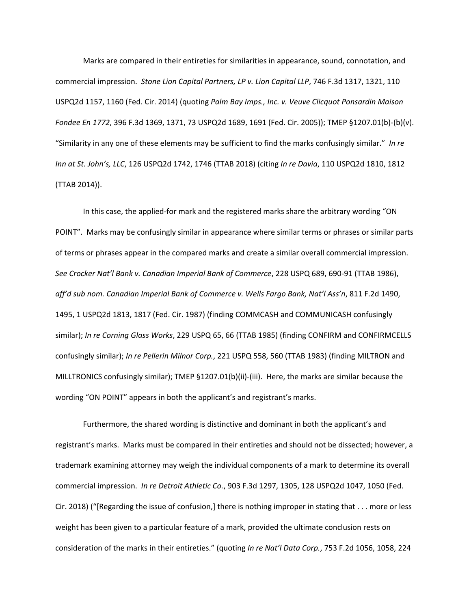Marks are compared in their entireties for similarities in appearance, sound, connotation, and commercial impression. *Stone Lion Capital Partners, LP v. Lion Capital LLP*, 746 F.3d 1317, 1321, 110 USPQ2d 1157, 1160 (Fed. Cir. 2014) (quoting *Palm Bay Imps., Inc. v. Veuve Clicquot Ponsardin Maison Fondee En 1772*, 396 F.3d 1369, 1371, 73 USPQ2d 1689, 1691 (Fed. Cir. 2005)); TMEP §1207.01(b)-(b)(v). "Similarity in any one of these elements may be sufficient to find the marks confusingly similar." *In re Inn at St. John's, LLC*, 126 USPQ2d 1742, 1746 (TTAB 2018) (citing *In re Davia*, 110 USPQ2d 1810, 1812 (TTAB 2014)).

In this case, the applied-for mark and the registered marks share the arbitrary wording "ON POINT". Marks may be confusingly similar in appearance where similar terms or phrases or similar parts of terms or phrases appear in the compared marks and create a similar overall commercial impression. *See Crocker Nat'l Bank v. Canadian Imperial Bank of Commerce*, 228 USPQ 689, 690-91 (TTAB 1986), *aff'd sub nom. Canadian Imperial Bank of Commerce v. Wells Fargo Bank, Nat'l Ass'n*, 811 F.2d 1490, 1495, 1 USPQ2d 1813, 1817 (Fed. Cir. 1987) (finding COMMCASH and COMMUNICASH confusingly similar); *In re Corning Glass Works*, 229 USPQ 65, 66 (TTAB 1985) (finding CONFIRM and CONFIRMCELLS confusingly similar); *In re Pellerin Milnor Corp.*, 221 USPQ 558, 560 (TTAB 1983) (finding MILTRON and MILLTRONICS confusingly similar); TMEP §1207.01(b)(ii)-(iii). Here, the marks are similar because the wording "ON POINT" appears in both the applicant's and registrant's marks.

Furthermore, the shared wording is distinctive and dominant in both the applicant's and registrant's marks. Marks must be compared in their entireties and should not be dissected; however, a trademark examining attorney may weigh the individual components of a mark to determine its overall commercial impression. *In re Detroit Athletic Co.*, 903 F.3d 1297, 1305, 128 USPQ2d 1047, 1050 (Fed. Cir. 2018) ("[Regarding the issue of confusion,] there is nothing improper in stating that . . . more or less weight has been given to a particular feature of a mark, provided the ultimate conclusion rests on consideration of the marks in their entireties." (quoting *In re Nat'l Data Corp.*, 753 F.2d 1056, 1058, 224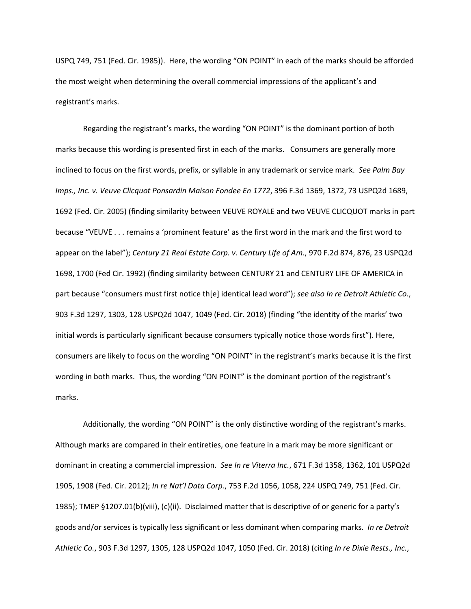USPQ 749, 751 (Fed. Cir. 1985)). Here, the wording "ON POINT" in each of the marks should be afforded the most weight when determining the overall commercial impressions of the applicant's and registrant's marks.

Regarding the registrant's marks, the wording "ON POINT" is the dominant portion of both marks because this wording is presented first in each of the marks. Consumers are generally more inclined to focus on the first words, prefix, or syllable in any trademark or service mark. *See Palm Bay Imps., Inc. v. Veuve Clicquot Ponsardin Maison Fondee En 1772*, 396 F.3d 1369, 1372, 73 USPQ2d 1689, 1692 (Fed. Cir. 2005) (finding similarity between VEUVE ROYALE and two VEUVE CLICQUOT marks in part because "VEUVE . . . remains a 'prominent feature' as the first word in the mark and the first word to appear on the label"); *Century 21 Real Estate Corp. v. Century Life of Am.*, 970 F.2d 874, 876, 23 USPQ2d 1698, 1700 (Fed Cir. 1992) (finding similarity between CENTURY 21 and CENTURY LIFE OF AMERICA in part because "consumers must first notice th[e] identical lead word"); *see also In re Detroit Athletic Co.*, 903 F.3d 1297, 1303, 128 USPQ2d 1047, 1049 (Fed. Cir. 2018) (finding "the identity of the marks' two initial words is particularly significant because consumers typically notice those words first"). Here, consumers are likely to focus on the wording "ON POINT" in the registrant's marks because it is the first wording in both marks. Thus, the wording "ON POINT" is the dominant portion of the registrant's marks.

Additionally, the wording "ON POINT" is the only distinctive wording of the registrant's marks. Although marks are compared in their entireties, one feature in a mark may be more significant or dominant in creating a commercial impression. *See In re Viterra Inc.*, 671 F.3d 1358, 1362, 101 USPQ2d 1905, 1908 (Fed. Cir. 2012); *In re Nat'l Data Corp.*, 753 F.2d 1056, 1058, 224 USPQ 749, 751 (Fed. Cir. 1985); TMEP §1207.01(b)(viii), (c)(ii). Disclaimed matter that is descriptive of or generic for a party's goods and/or services is typically less significant or less dominant when comparing marks. *In re Detroit Athletic Co.*, 903 F.3d 1297, 1305, 128 USPQ2d 1047, 1050 (Fed. Cir. 2018) (citing *In re Dixie Rests., Inc.*,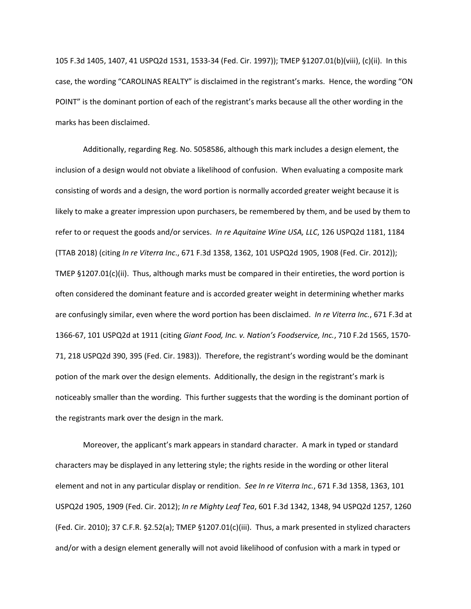105 F.3d 1405, 1407, 41 USPQ2d 1531, 1533-34 (Fed. Cir. 1997)); TMEP §1207.01(b)(viii), (c)(ii). In this case, the wording "CAROLINAS REALTY" is disclaimed in the registrant's marks. Hence, the wording "ON POINT" is the dominant portion of each of the registrant's marks because all the other wording in the marks has been disclaimed.

Additionally, regarding Reg. No. 5058586, although this mark includes a design element, the inclusion of a design would not obviate a likelihood of confusion. When evaluating a composite mark consisting of words and a design, the word portion is normally accorded greater weight because it is likely to make a greater impression upon purchasers, be remembered by them, and be used by them to refer to or request the goods and/or services. *In re Aquitaine Wine USA, LLC*, 126 USPQ2d 1181, 1184 (TTAB 2018) (citing *In re Viterra Inc*., 671 F.3d 1358, 1362, 101 USPQ2d 1905, 1908 (Fed. Cir. 2012)); TMEP §1207.01(c)(ii). Thus, although marks must be compared in their entireties, the word portion is often considered the dominant feature and is accorded greater weight in determining whether marks are confusingly similar, even where the word portion has been disclaimed. *In re Viterra Inc.*, 671 F.3d at 1366-67, 101 USPQ2d at 1911 (citing *Giant Food, Inc. v. Nation's Foodservice, Inc.*, 710 F.2d 1565, 1570- 71, 218 USPQ2d 390, 395 (Fed. Cir. 1983)). Therefore, the registrant's wording would be the dominant potion of the mark over the design elements. Additionally, the design in the registrant's mark is noticeably smaller than the wording. This further suggests that the wording is the dominant portion of the registrants mark over the design in the mark.

Moreover, the applicant's mark appears in standard character. A mark in typed or standard characters may be displayed in any lettering style; the rights reside in the wording or other literal element and not in any particular display or rendition. *See In re Viterra Inc.*, 671 F.3d 1358, 1363, 101 USPQ2d 1905, 1909 (Fed. Cir. 2012); *In re Mighty Leaf Tea*, 601 F.3d 1342, 1348, 94 USPQ2d 1257, 1260 (Fed. Cir. 2010); 37 C.F.R. §2.52(a); TMEP §1207.01(c)(iii). Thus, a mark presented in stylized characters and/or with a design element generally will not avoid likelihood of confusion with a mark in typed or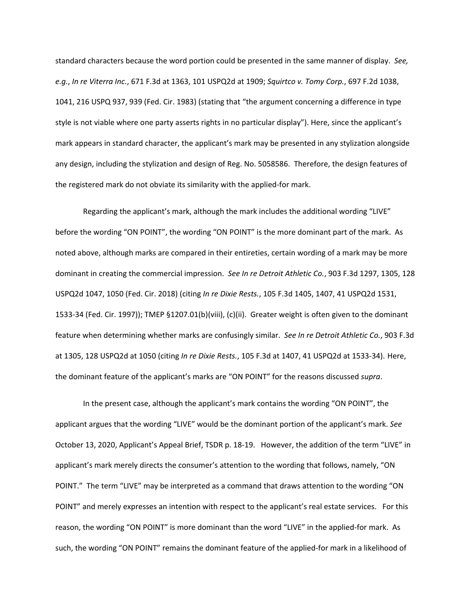standard characters because the word portion could be presented in the same manner of display. *See, e.g.*, *In re Viterra Inc.*, 671 F.3d at 1363, 101 USPQ2d at 1909; *Squirtco v. Tomy Corp.*, 697 F.2d 1038, 1041, 216 USPQ 937, 939 (Fed. Cir. 1983) (stating that "the argument concerning a difference in type style is not viable where one party asserts rights in no particular display"). Here, since the applicant's mark appears in standard character, the applicant's mark may be presented in any stylization alongside any design, including the stylization and design of Reg. No. 5058586. Therefore, the design features of the registered mark do not obviate its similarity with the applied-for mark.

Regarding the applicant's mark, although the mark includes the additional wording "LIVE" before the wording "ON POINT", the wording "ON POINT" is the more dominant part of the mark. As noted above, although marks are compared in their entireties, certain wording of a mark may be more dominant in creating the commercial impression. *See In re Detroit Athletic Co.*, 903 F.3d 1297, 1305, 128 USPQ2d 1047, 1050 (Fed. Cir. 2018) (citing *In re Dixie Rests.*, 105 F.3d 1405, 1407, 41 USPQ2d 1531, 1533-34 (Fed. Cir. 1997)); TMEP §1207.01(b)(viii), (c)(ii). Greater weight is often given to the dominant feature when determining whether marks are confusingly similar. *See In re Detroit Athletic Co.*, 903 F.3d at 1305, 128 USPQ2d at 1050 (citing *In re Dixie Rests.*, 105 F.3d at 1407, 41 USPQ2d at 1533-34). Here, the dominant feature of the applicant's marks are "ON POINT" for the reasons discussed *supra*.

In the present case, although the applicant's mark contains the wording "ON POINT", the applicant argues that the wording "LIVE" would be the dominant portion of the applicant's mark. *See*  October 13, 2020, Applicant's Appeal Brief, TSDR p. 18-19. However, the addition of the term "LIVE" in applicant's mark merely directs the consumer's attention to the wording that follows, namely, "ON POINT." The term "LIVE" may be interpreted as a command that draws attention to the wording "ON POINT" and merely expresses an intention with respect to the applicant's real estate services. For this reason, the wording "ON POINT" is more dominant than the word "LIVE" in the applied-for mark. As such, the wording "ON POINT" remains the dominant feature of the applied-for mark in a likelihood of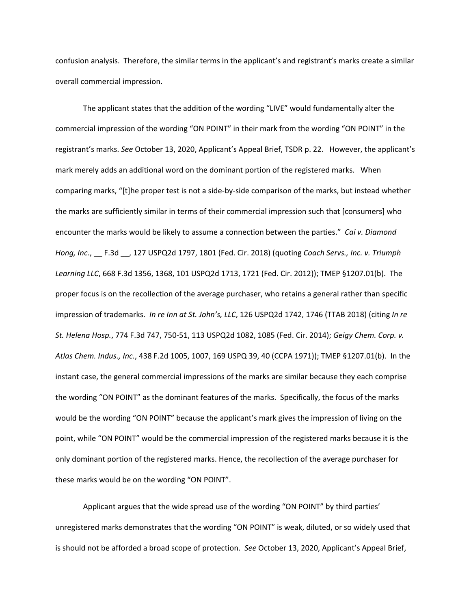confusion analysis. Therefore, the similar terms in the applicant's and registrant's marks create a similar overall commercial impression.

The applicant states that the addition of the wording "LIVE" would fundamentally alter the commercial impression of the wording "ON POINT" in their mark from the wording "ON POINT" in the registrant's marks. *See* October 13, 2020, Applicant's Appeal Brief, TSDR p. 22. However, the applicant's mark merely adds an additional word on the dominant portion of the registered marks. When comparing marks, "[t]he proper test is not a side-by-side comparison of the marks, but instead whether the marks are sufficiently similar in terms of their commercial impression such that [consumers] who encounter the marks would be likely to assume a connection between the parties." *Cai v. Diamond Hong, Inc*., \_\_ F.3d \_\_, 127 USPQ2d 1797, 1801 (Fed. Cir. 2018) (quoting *Coach Servs., Inc. v. Triumph Learning LLC*, 668 F.3d 1356, 1368, 101 USPQ2d 1713, 1721 (Fed. Cir. 2012)); TMEP §1207.01(b). The proper focus is on the recollection of the average purchaser, who retains a general rather than specific impression of trademarks. *In re Inn at St. John's, LLC*, 126 USPQ2d 1742, 1746 (TTAB 2018) (citing *In re St. Helena Hosp.*, 774 F.3d 747, 750-51, 113 USPQ2d 1082, 1085 (Fed. Cir. 2014); *Geigy Chem. Corp. v. Atlas Chem. Indus., Inc.*, 438 F.2d 1005, 1007, 169 USPQ 39, 40 (CCPA 1971)); TMEP §1207.01(b). In the instant case, the general commercial impressions of the marks are similar because they each comprise the wording "ON POINT" as the dominant features of the marks. Specifically, the focus of the marks would be the wording "ON POINT" because the applicant's mark gives the impression of living on the point, while "ON POINT" would be the commercial impression of the registered marks because it is the only dominant portion of the registered marks. Hence, the recollection of the average purchaser for these marks would be on the wording "ON POINT".

Applicant argues that the wide spread use of the wording "ON POINT" by third parties' unregistered marks demonstrates that the wording "ON POINT" is weak, diluted, or so widely used that is should not be afforded a broad scope of protection. *See* October 13, 2020, Applicant's Appeal Brief,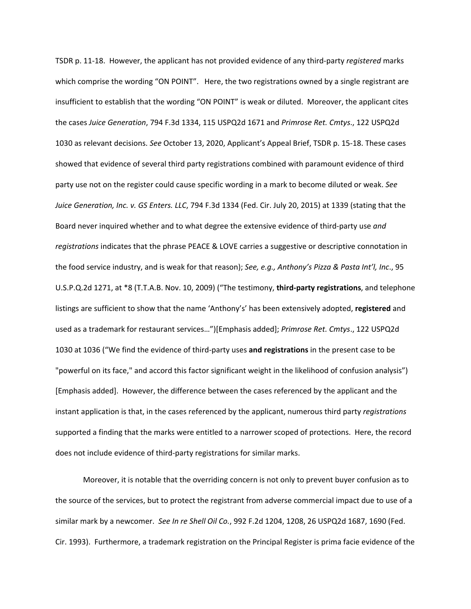TSDR p. 11-18. However, the applicant has not provided evidence of any third-party *registered* marks which comprise the wording "ON POINT". Here, the two registrations owned by a single registrant are insufficient to establish that the wording "ON POINT" is weak or diluted. Moreover, the applicant cites the cases *Juice Generation*, 794 F.3d 1334, 115 USPQ2d 1671 and *Primrose Ret. Cmtys*., 122 USPQ2d 1030 as relevant decisions. *See* October 13, 2020, Applicant's Appeal Brief, TSDR p. 15-18. These cases showed that evidence of several third party registrations combined with paramount evidence of third party use not on the register could cause specific wording in a mark to become diluted or weak. *See Juice Generation, Inc. v. GS Enters. LLC*, 794 F.3d 1334 (Fed. Cir. July 20, 2015) at 1339 (stating that the Board never inquired whether and to what degree the extensive evidence of third-party use *and registrations* indicates that the phrase PEACE & LOVE carries a suggestive or descriptive connotation in the food service industry, and is weak for that reason); *See, e.g., Anthony's Pizza & Pasta Int'l, Inc*., 95 U.S.P.Q.2d 1271, at \*8 (T.T.A.B. Nov. 10, 2009) ("The testimony, **third-party registrations**, and telephone listings are sufficient to show that the name 'Anthony's' has been extensively adopted, **registered** and used as a trademark for restaurant services…")[Emphasis added]; *Primrose Ret. Cmtys*., 122 USPQ2d 1030 at 1036 ("We find the evidence of third-party uses **and registrations** in the present case to be "powerful on its face," and accord this factor significant weight in the likelihood of confusion analysis") [Emphasis added]. However, the difference between the cases referenced by the applicant and the instant application is that, in the cases referenced by the applicant, numerous third party *registrations* supported a finding that the marks were entitled to a narrower scoped of protections. Here, the record does not include evidence of third-party registrations for similar marks.

Moreover, it is notable that the overriding concern is not only to prevent buyer confusion as to the source of the services, but to protect the registrant from adverse commercial impact due to use of a similar mark by a newcomer. *See In re Shell Oil Co.*, 992 F.2d 1204, 1208, 26 USPQ2d 1687, 1690 (Fed. Cir. 1993). Furthermore, a trademark registration on the Principal Register is prima facie evidence of the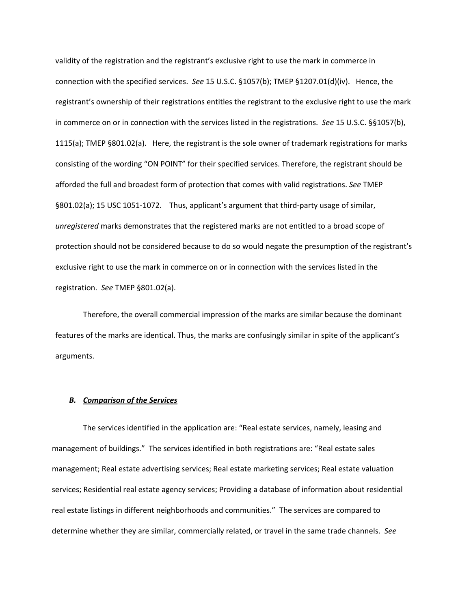validity of the registration and the registrant's exclusive right to use the mark in commerce in connection with the specified services. *See* 15 U.S.C. §1057(b); TMEP §1207.01(d)(iv). Hence, the registrant's ownership of their registrations entitles the registrant to the exclusive right to use the mark in commerce on or in connection with the services listed in the registrations. *See* 15 U.S.C. §§1057(b), 1115(a); TMEP §801.02(a). Here, the registrant is the sole owner of trademark registrations for marks consisting of the wording "ON POINT" for their specified services. Therefore, the registrant should be afforded the full and broadest form of protection that comes with valid registrations. *See* TMEP §801.02(a); 15 USC 1051-1072. Thus, applicant's argument that third-party usage of similar, *unregistered* marks demonstrates that the registered marks are not entitled to a broad scope of protection should not be considered because to do so would negate the presumption of the registrant's exclusive right to use the mark in commerce on or in connection with the services listed in the registration. *See* TMEP §801.02(a).

Therefore, the overall commercial impression of the marks are similar because the dominant features of the marks are identical. Thus, the marks are confusingly similar in spite of the applicant's arguments.

#### *B. Comparison of the Services*

The services identified in the application are: "Real estate services, namely, leasing and management of buildings." The services identified in both registrations are: "Real estate sales management; Real estate advertising services; Real estate marketing services; Real estate valuation services; Residential real estate agency services; Providing a database of information about residential real estate listings in different neighborhoods and communities." The services are compared to determine whether they are similar, commercially related, or travel in the same trade channels. *See*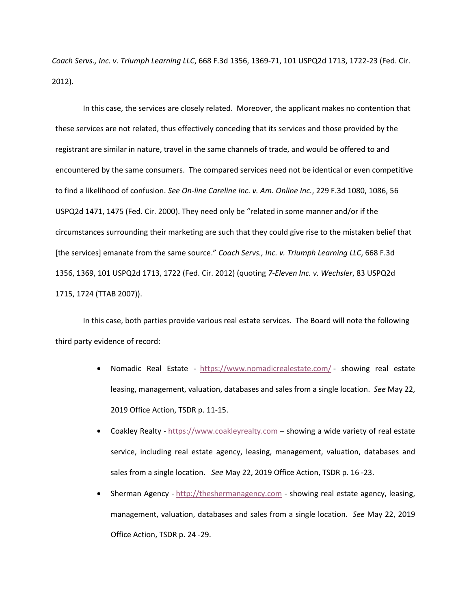*Coach Servs., Inc. v. Triumph Learning LLC*, 668 F.3d 1356, 1369-71, 101 USPQ2d 1713, 1722-23 (Fed. Cir. 2012).

In this case, the services are closely related. Moreover, the applicant makes no contention that these services are not related, thus effectively conceding that its services and those provided by the registrant are similar in nature, travel in the same channels of trade, and would be offered to and encountered by the same consumers. The compared services need not be identical or even competitive to find a likelihood of confusion. *See On-line Careline Inc. v. Am. Online Inc.*, 229 F.3d 1080, 1086, 56 USPQ2d 1471, 1475 (Fed. Cir. 2000). They need only be "related in some manner and/or if the circumstances surrounding their marketing are such that they could give rise to the mistaken belief that [the services] emanate from the same source." *Coach Servs., Inc. v. Triumph Learning LLC*, 668 F.3d 1356, 1369, 101 USPQ2d 1713, 1722 (Fed. Cir. 2012) (quoting *7-Eleven Inc. v. Wechsler*, 83 USPQ2d 1715, 1724 (TTAB 2007)).

In this case, both parties provide various real estate services. The Board will note the following third party evidence of record:

- Nomadic Real Estate https://www.nomadicrealestate.com/ showing real estate leasing, management, valuation, databases and sales from a single location. *See* May 22, 2019 Office Action, TSDR p. 11-15.
- Coakley Realty https://www.coakleyrealty.com showing a wide variety of real estate service, including real estate agency, leasing, management, valuation, databases and sales from a single location. *See* May 22, 2019 Office Action, TSDR p. 16 -23.
- Sherman Agency http://theshermanagency.com showing real estate agency, leasing, management, valuation, databases and sales from a single location. *See* May 22, 2019 Office Action, TSDR p. 24 -29.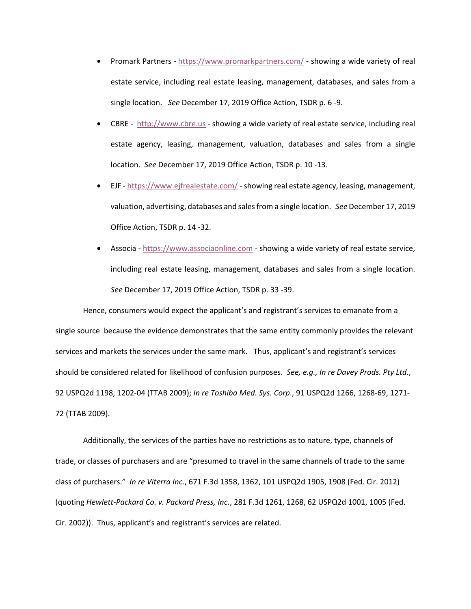- Promark Partners https://www.promarkpartners.com/ showing a wide variety of real estate service, including real estate leasing, management, databases, and sales from a single location. *See* December 17, 2019 Office Action, TSDR p. 6 -9.
- CBRE http://www.cbre.us showing a wide variety of real estate service, including real estate agency, leasing, management, valuation, databases and sales from a single location. *See* December 17, 2019 Office Action, TSDR p. 10 -13.
- EJF https://www.ejfrealestate.com/ showing real estate agency, leasing, management, valuation, advertising, databases and sales from a single location. *See* December 17, 2019 Office Action, TSDR p. 14 -32.
- Associa https://www.associaonline.com showing a wide variety of real estate service, including real estate leasing, management, databases and sales from a single location. *See* December 17, 2019 Office Action, TSDR p. 33 -39.

Hence, consumers would expect the applicant's and registrant's services to emanate from a single source because the evidence demonstrates that the same entity commonly provides the relevant services and markets the services under the same mark. Thus, applicant's and registrant's services should be considered related for likelihood of confusion purposes. *See, e.g., In re Davey Prods. Pty Ltd*., 92 USPQ2d 1198, 1202-04 (TTAB 2009); *In re Toshiba Med. Sys. Corp*., 91 USPQ2d 1266, 1268-69, 1271- 72 (TTAB 2009).

Additionally, the services of the parties have no restrictions as to nature, type, channels of trade, or classes of purchasers and are "presumed to travel in the same channels of trade to the same class of purchasers." *In re Viterra Inc.*, 671 F.3d 1358, 1362, 101 USPQ2d 1905, 1908 (Fed. Cir. 2012) (quoting *Hewlett-Packard Co. v. Packard Press, Inc.*, 281 F.3d 1261, 1268, 62 USPQ2d 1001, 1005 (Fed. Cir. 2002)). Thus, applicant's and registrant's services are related.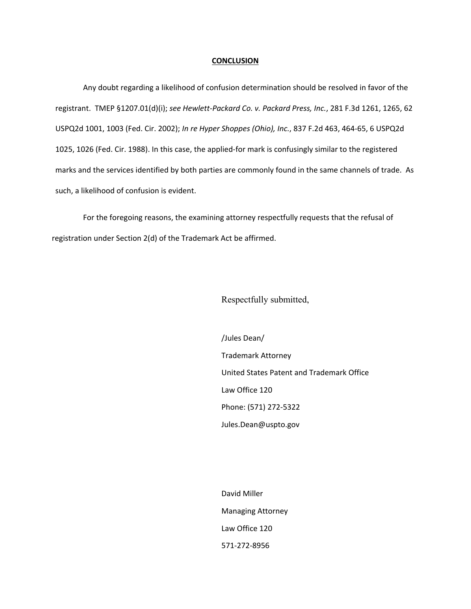#### **CONCLUSION**

Any doubt regarding a likelihood of confusion determination should be resolved in favor of the registrant. TMEP §1207.01(d)(i); *see Hewlett-Packard Co. v. Packard Press, Inc.*, 281 F.3d 1261, 1265, 62 USPQ2d 1001, 1003 (Fed. Cir. 2002); *In re Hyper Shoppes (Ohio), Inc.*, 837 F.2d 463, 464-65, 6 USPQ2d 1025, 1026 (Fed. Cir. 1988). In this case, the applied-for mark is confusingly similar to the registered marks and the services identified by both parties are commonly found in the same channels of trade. As such, a likelihood of confusion is evident.

For the foregoing reasons, the examining attorney respectfully requests that the refusal of registration under Section 2(d) of the Trademark Act be affirmed.

Respectfully submitted,

/Jules Dean/ Trademark Attorney United States Patent and Trademark Office Law Office 120 Phone: (571) 272-5322 Jules.Dean@uspto.gov

David Miller Managing Attorney Law Office 120 571-272-8956